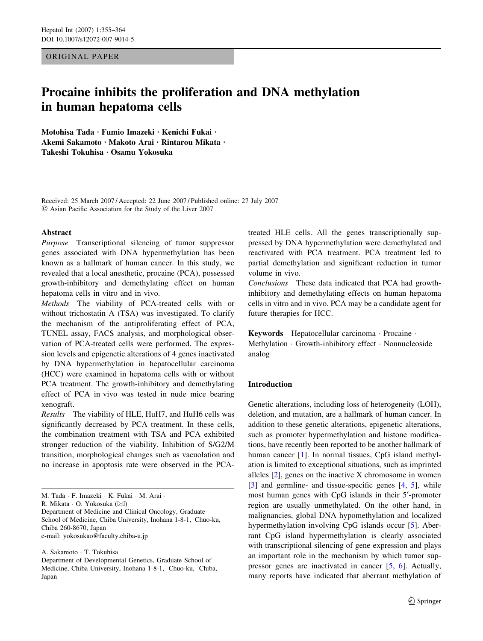ORIGINAL PAPER

# Procaine inhibits the proliferation and DNA methylation in human hepatoma cells

Motohisa Tada · Fumio Imazeki · Kenichi Fukai · Akemi Sakamoto · Makoto Arai · Rintarou Mikata · Takeshi Tokuhisa · Osamu Yokosuka

Received: 25 March 2007 / Accepted: 22 June 2007 / Published online: 27 July 2007 Asian Pacific Association for the Study of the Liver 2007

# Abstract

Purpose Transcriptional silencing of tumor suppressor genes associated with DNA hypermethylation has been known as a hallmark of human cancer. In this study, we revealed that a local anesthetic, procaine (PCA), possessed growth-inhibitory and demethylating effect on human hepatoma cells in vitro and in vivo.

Methods The viability of PCA-treated cells with or without trichostatin A (TSA) was investigated. To clarify the mechanism of the antiproliferating effect of PCA, TUNEL assay, FACS analysis, and morphological observation of PCA-treated cells were performed. The expression levels and epigenetic alterations of 4 genes inactivated by DNA hypermethylation in hepatocellular carcinoma (HCC) were examined in hepatoma cells with or without PCA treatment. The growth-inhibitory and demethylating effect of PCA in vivo was tested in nude mice bearing xenograft.

Results The viability of HLE, HuH7, and HuH6 cells was significantly decreased by PCA treatment. In these cells, the combination treatment with TSA and PCA exhibited stronger reduction of the viability. Inhibition of S/G2/M transition, morphological changes such as vacuolation and no increase in apoptosis rate were observed in the PCA-

R. Mikata · O. Yokosuka (⊠)

Department of Medicine and Clinical Oncology, Graduate School of Medicine, Chiba University, Inohana 1-8-1, Chuo-ku, Chiba 260-8670, Japan e-mail: yokosukao@faculty.chiba-u.jp

A. Sakamoto · T. Tokuhisa

treated HLE cells. All the genes transcriptionally suppressed by DNA hypermethylation were demethylated and reactivated with PCA treatment. PCA treatment led to partial demethylation and significant reduction in tumor volume in vivo.

Conclusions These data indicated that PCA had growthinhibitory and demethylating effects on human hepatoma cells in vitro and in vivo. PCA may be a candidate agent for future therapies for HCC.

Keywords Hepatocellular carcinoma · Procaine · Methylation · Growth-inhibitory effect · Nonnucleoside analog

# Introduction

Genetic alterations, including loss of heterogeneity (LOH), deletion, and mutation, are a hallmark of human cancer. In addition to these genetic alterations, epigenetic alterations, such as promoter hypermethylation and histone modifications, have recently been reported to be another hallmark of human cancer [[1\]](#page-8-0). In normal tissues, CpG island methylation is limited to exceptional situations, such as imprinted alleles [[2\]](#page-8-0), genes on the inactive X chromosome in women [\[3](#page-8-0)] and germline- and tissue-specific genes [[4,](#page-8-0) [5\]](#page-8-0), while most human genes with CpG islands in their 5'-promoter region are usually unmethylated. On the other hand, in malignancies, global DNA hypomethylation and localized hypermethylation involving CpG islands occur [\[5](#page-8-0)]. Aberrant CpG island hypermethylation is clearly associated with transcriptional silencing of gene expression and plays an important role in the mechanism by which tumor suppressor genes are inactivated in cancer [[5,](#page-8-0) [6\]](#page-8-0). Actually, many reports have indicated that aberrant methylation of

M. Tada · F. Imazeki · K. Fukai · M. Arai ·

Department of Developmental Genetics, Graduate School of Medicine, Chiba University, Inohana 1-8-1, Chuo-ku, Chiba, Japan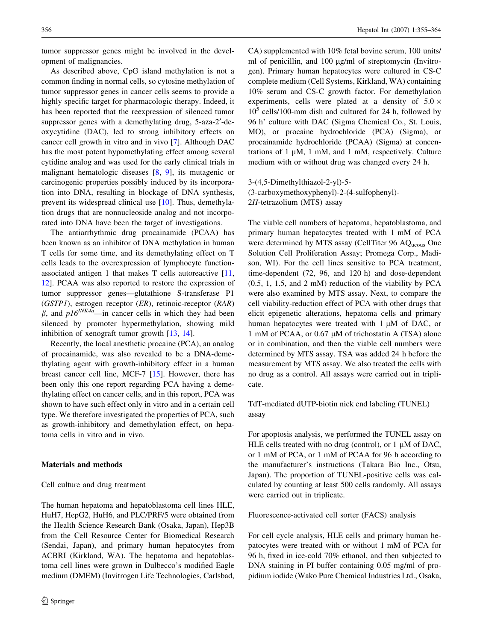tumor suppressor genes might be involved in the development of malignancies.

As described above, CpG island methylation is not a common finding in normal cells, so cytosine methylation of tumor suppressor genes in cancer cells seems to provide a highly specific target for pharmacologic therapy. Indeed, it has been reported that the reexpression of silenced tumor suppressor genes with a demethylating drug, 5-aza-2'-deoxycytidine (DAC), led to strong inhibitory effects on cancer cell growth in vitro and in vivo [[7\]](#page-8-0). Although DAC has the most potent hypomethylating effect among several cytidine analog and was used for the early clinical trials in malignant hematologic diseases [[8,](#page-8-0) [9\]](#page-8-0), its mutagenic or carcinogenic properties possibly induced by its incorporation into DNA, resulting in blockage of DNA synthesis, prevent its widespread clinical use [\[10](#page-8-0)]. Thus, demethylation drugs that are nonnucleoside analog and not incorporated into DNA have been the target of investigations.

The antiarrhythmic drug procainamide (PCAA) has been known as an inhibitor of DNA methylation in human T cells for some time, and its demethylating effect on T cells leads to the overexpression of lymphocyte functionassociated antigen 1 that makes T cells autoreactive [[11,](#page-8-0) [12](#page-8-0)]. PCAA was also reported to restore the expression of tumor suppressor genes—glutathione S-transferase P1 (GSTP1), estrogen receptor (ER), retinoic-receptor (RAR)  $\beta$ , and  $p16^{INK4a}$ —in cancer cells in which they had been silenced by promoter hypermethylation, showing mild inhibition of xenograft tumor growth [[13,](#page-8-0) [14\]](#page-8-0).

Recently, the local anesthetic procaine (PCA), an analog of procainamide, was also revealed to be a DNA-demethylating agent with growth-inhibitory effect in a human breast cancer cell line, MCF-7 [[15\]](#page-8-0). However, there has been only this one report regarding PCA having a demethylating effect on cancer cells, and in this report, PCA was shown to have such effect only in vitro and in a certain cell type. We therefore investigated the properties of PCA, such as growth-inhibitory and demethylation effect, on hepatoma cells in vitro and in vivo.

# Materials and methods

#### Cell culture and drug treatment

The human hepatoma and hepatoblastoma cell lines HLE, HuH7, HepG2, HuH6, and PLC/PRF/5 were obtained from the Health Science Research Bank (Osaka, Japan), Hep3B from the Cell Resource Center for Biomedical Research (Sendai, Japan), and primary human hepatocytes from ACBRI (Kirkland, WA). The hepatoma and hepatoblastoma cell lines were grown in Dulbecco's modified Eagle medium (DMEM) (Invitrogen Life Technologies, Carlsbad, CA) supplemented with 10% fetal bovine serum, 100 units/ ml of penicillin, and 100 µg/ml of streptomycin (Invitrogen). Primary human hepatocytes were cultured in CS-C complete medium (Cell Systems, Kirkland, WA) containing 10% serum and CS-C growth factor. For demethylation experiments, cells were plated at a density of  $5.0 \times$  $10<sup>5</sup>$  cells/100-mm dish and cultured for 24 h, followed by 96 h' culture with DAC (Sigma Chemical Co., St. Louis, MO), or procaine hydrochloride (PCA) (Sigma), or procainamide hydrochloride (PCAA) (Sigma) at concentrations of  $1 \mu M$ ,  $1 \dot{m}M$ , and  $1 \dot{m}M$ , respectively. Culture medium with or without drug was changed every 24 h.

3-(4,5-Dimethylthiazol-2-yl)-5- (3-carboxymethoxyphenyl)-2-(4-sulfophenyl)- 2H-tetrazolium (MTS) assay

The viable cell numbers of hepatoma, hepatoblastoma, and primary human hepatocytes treated with 1 mM of PCA were determined by MTS assay (CellTiter 96 AQ<sub>ueous</sub> One Solution Cell Proliferation Assay; Promega Corp., Madison, WI). For the cell lines sensitive to PCA treatment, time-dependent (72, 96, and 120 h) and dose-dependent (0.5, 1, 1.5, and 2 mM) reduction of the viability by PCA were also examined by MTS assay. Next, to compare the cell viability-reduction effect of PCA with other drugs that elicit epigenetic alterations, hepatoma cells and primary human hepatocytes were treated with  $1 \mu M$  of DAC, or 1 mM of PCAA, or  $0.67 \mu M$  of trichostatin A (TSA) alone or in combination, and then the viable cell numbers were determined by MTS assay. TSA was added 24 h before the measurement by MTS assay. We also treated the cells with no drug as a control. All assays were carried out in triplicate.

TdT-mediated dUTP-biotin nick end labeling (TUNEL) assay

For apoptosis analysis, we performed the TUNEL assay on HLE cells treated with no drug (control), or  $1 \mu M$  of DAC, or 1 mM of PCA, or 1 mM of PCAA for 96 h according to the manufacturer's instructions (Takara Bio Inc., Otsu, Japan). The proportion of TUNEL-positive cells was calculated by counting at least 500 cells randomly. All assays were carried out in triplicate.

Fluorescence-activated cell sorter (FACS) analysis

For cell cycle analysis, HLE cells and primary human hepatocytes were treated with or without 1 mM of PCA for 96 h, fixed in ice-cold 70% ethanol, and then subjected to DNA staining in PI buffer containing 0.05 mg/ml of propidium iodide (Wako Pure Chemical Industries Ltd., Osaka,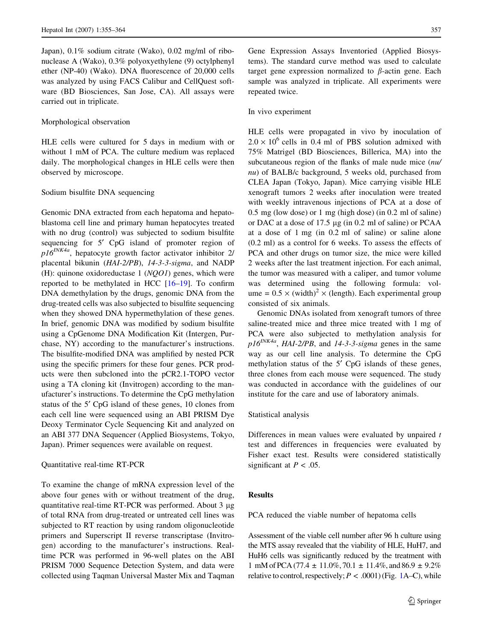Japan), 0.1% sodium citrate (Wako), 0.02 mg/ml of ribonuclease A (Wako), 0.3% polyoxyethylene (9) octylphenyl ether (NP-40) (Wako). DNA fluorescence of 20,000 cells was analyzed by using FACS Calibur and CellQuest software (BD Biosciences, San Jose, CA). All assays were carried out in triplicate.

## Morphological observation

HLE cells were cultured for 5 days in medium with or without 1 mM of PCA. The culture medium was replaced daily. The morphological changes in HLE cells were then observed by microscope.

## Sodium bisulfite DNA sequencing

Genomic DNA extracted from each hepatoma and hepatoblastoma cell line and primary human hepatocytes treated with no drug (control) was subjected to sodium bisulfite sequencing for 5' CpG island of promoter region of  $p16^{INK4a}$ , hepatocyte growth factor activator inhibitor 2/ placental bikunin (HAI-2/PB), 14-3-3-sigma, and NADP (H): quinone oxidoreductase  $1 (NQO1)$  genes, which were reported to be methylated in HCC [[16–](#page-8-0)[19\]](#page-9-0). To confirm DNA demethylation by the drugs, genomic DNA from the drug-treated cells was also subjected to bisulfite sequencing when they showed DNA hypermethylation of these genes. In brief, genomic DNA was modified by sodium bisulfite using a CpGenome DNA Modification Kit (Intergen, Purchase, NY) according to the manufacturer's instructions. The bisulfite-modified DNA was amplified by nested PCR using the specific primers for these four genes. PCR products were then subcloned into the pCR2.1-TOPO vector using a TA cloning kit (Invitrogen) according to the manufacturer's instructions. To determine the CpG methylation status of the 5<sup> $\prime$ </sup> CpG island of these genes, 10 clones from each cell line were sequenced using an ABI PRISM Dye Deoxy Terminator Cycle Sequencing Kit and analyzed on an ABI 377 DNA Sequencer (Applied Biosystems, Tokyo, Japan). Primer sequences were available on request.

#### Quantitative real-time RT-PCR

To examine the change of mRNA expression level of the above four genes with or without treatment of the drug, quantitative real-time RT-PCR was performed. About  $3 \mu$ g of total RNA from drug-treated or untreated cell lines was subjected to RT reaction by using random oligonucleotide primers and Superscript II reverse transcriptase (Invitrogen) according to the manufacturer's instructions. Realtime PCR was performed in 96-well plates on the ABI PRISM 7000 Sequence Detection System, and data were collected using Taqman Universal Master Mix and Taqman Gene Expression Assays Inventoried (Applied Biosystems). The standard curve method was used to calculate target gene expression normalized to  $\beta$ -actin gene. Each sample was analyzed in triplicate. All experiments were repeated twice.

#### In vivo experiment

HLE cells were propagated in vivo by inoculation of  $2.0 \times 10^6$  cells in 0.4 ml of PBS solution admixed with 75% Matrigel (BD Biosciences, Billerica, MA) into the subcutaneous region of the flanks of male nude mice (nu/ nu) of BALB/c background, 5 weeks old, purchased from CLEA Japan (Tokyo, Japan). Mice carrying visible HLE xenograft tumors 2 weeks after inoculation were treated with weekly intravenous injections of PCA at a dose of 0.5 mg (low dose) or 1 mg (high dose) (in 0.2 ml of saline) or DAC at a dose of 17.5 µg (in 0.2 ml of saline) or PCAA at a dose of 1 mg (in 0.2 ml of saline) or saline alone (0.2 ml) as a control for 6 weeks. To assess the effects of PCA and other drugs on tumor size, the mice were killed 2 weeks after the last treatment injection. For each animal, the tumor was measured with a caliper, and tumor volume was determined using the following formula: volume =  $0.5 \times$  (width)<sup>2</sup> × (length). Each experimental group consisted of six animals.

Genomic DNAs isolated from xenograft tumors of three saline-treated mice and three mice treated with 1 mg of PCA were also subjected to methylation analysis for  $p16^{INKAa}$ , HAI-2/PB, and 14-3-3-sigma genes in the same way as our cell line analysis. To determine the CpG methylation status of the 5<sup>'</sup> CpG islands of these genes, three clones from each mouse were sequenced. The study was conducted in accordance with the guidelines of our institute for the care and use of laboratory animals.

## Statistical analysis

Differences in mean values were evaluated by unpaired  $t$ test and differences in frequencies were evaluated by Fisher exact test. Results were considered statistically significant at  $P < .05$ .

## Results

PCA reduced the viable number of hepatoma cells

Assessment of the viable cell number after 96 h culture using the MTS assay revealed that the viability of HLE, HuH7, and HuH6 cells was significantly reduced by the treatment with 1 mM of PCA (77.4  $\pm$  11.0%, 70.1  $\pm$  11.4%, and 86.9  $\pm$  9.2% relative to control, respectively;  $P < .0001$  $P < .0001$ ) (Fig. 1A–C), while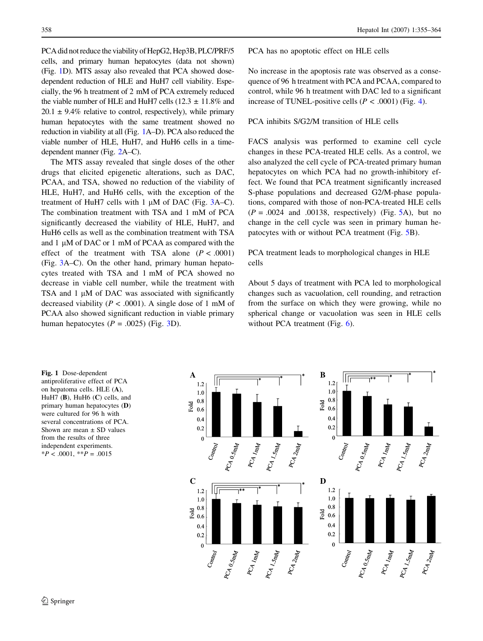<span id="page-3-0"></span>PCA did not reduce the viability of HepG2, Hep3B, PLC/PRF/5 cells, and primary human hepatocytes (data not shown) (Fig. 1D). MTS assay also revealed that PCA showed dosedependent reduction of HLE and HuH7 cell viability. Especially, the 96 h treatment of 2 mM of PCA extremely reduced the viable number of HLE and HuH7 cells (12.3  $\pm$  11.8% and  $20.1 \pm 9.4\%$  relative to control, respectively), while primary human hepatocytes with the same treatment showed no reduction in viability at all (Fig. 1A–D). PCA also reduced the viable number of HLE, HuH7, and HuH6 cells in a timedependent manner (Fig. [2A](#page-4-0)–C).

The MTS assay revealed that single doses of the other drugs that elicited epigenetic alterations, such as DAC, PCAA, and TSA, showed no reduction of the viability of HLE, HuH7, and HuH6 cells, with the exception of the treatment of HuH7 cells with  $1 \mu$ M of DAC (Fig. [3](#page-4-0)A–C). The combination treatment with TSA and 1 mM of PCA significantly decreased the viability of HLE, HuH7, and HuH6 cells as well as the combination treatment with TSA and  $1 \mu M$  of DAC or  $1 \mu M$  of PCAA as compared with the effect of the treatment with TSA alone  $(P < .0001)$ (Fig. [3](#page-4-0)A–C). On the other hand, primary human hepatocytes treated with TSA and 1 mM of PCA showed no decrease in viable cell number, while the treatment with TSA and  $1 \mu M$  of DAC was associated with significantly decreased viability ( $P < .0001$ ). A single dose of 1 mM of PCAA also showed significant reduction in viable primary human hepatocytes  $(P = .0025)$  (Fig. [3D](#page-4-0)).

PCA has no apoptotic effect on HLE cells

No increase in the apoptosis rate was observed as a consequence of 96 h treatment with PCA and PCAA, compared to control, while 96 h treatment with DAC led to a significant increase of TUNEL-positive cells ( $P < .0001$ ) (Fig. [4\)](#page-5-0).

PCA inhibits S/G2/M transition of HLE cells

FACS analysis was performed to examine cell cycle changes in these PCA-treated HLE cells. As a control, we also analyzed the cell cycle of PCA-treated primary human hepatocytes on which PCA had no growth-inhibitory effect. We found that PCA treatment significantly increased S-phase populations and decreased G2/M-phase populations, compared with those of non-PCA-treated HLE cells  $(P = .0024$  and .00138, respectively) (Fig. [5A](#page-5-0)), but no change in the cell cycle was seen in primary human hepatocytes with or without PCA treatment (Fig. [5](#page-5-0)B).

PCA treatment leads to morphological changes in HLE cells

About 5 days of treatment with PCA led to morphological changes such as vacuolation, cell rounding, and retraction from the surface on which they were growing, while no spherical change or vacuolation was seen in HLE cells without PCA treatment (Fig. [6](#page-5-0)).

Fig. 1 Dose-dependent antiproliferative effect of PCA on hepatoma cells. HLE (A), HuH7  $(B)$ , HuH6  $(C)$  cells, and primary human hepatocytes (D) were cultured for 96 h with several concentrations of PCA. Shown are mean  $\pm$  SD values from the results of three independent experiments.  $*P < .0001, **P = .0015$ 

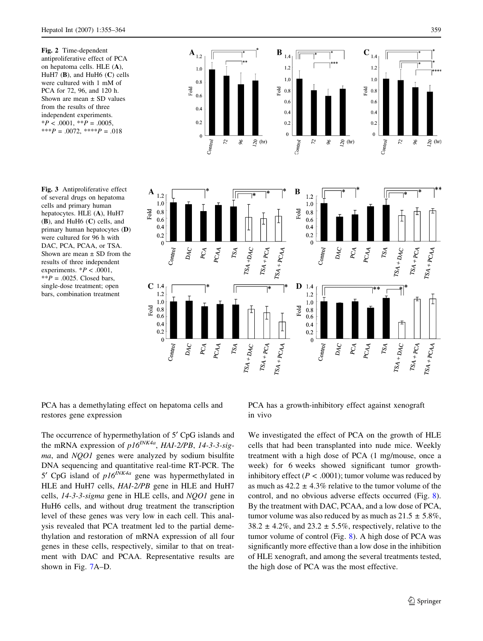<span id="page-4-0"></span>Fig. 2 Time-dependent antiproliferative effect of PCA on hepatoma cells. HLE (A), HuH7  $(B)$ , and HuH6  $(C)$  cells were cultured with 1 mM of PCA for 72, 96, and 120 h. Shown are mean  $\pm$  SD values from the results of three independent experiments.  $*P < .0001, **P = .0005,$ \*\*\* $P = .0072$ , \*\*\*\* $P = .018$ 

Fig. 3 Antiproliferative effect of several drugs on hepatoma cells and primary human hepatocytes. HLE (A), HuH7 (B), and HuH6 (C) cells, and primary human hepatocytes (D) were cultured for 96 h with DAC, PCA, PCAA, or TSA. Shown are mean  $\pm$  SD from the results of three independent experiments.  $*P < .0001$ ,  $*$  $P = .0025$ . Closed bars, single-dose treatment; open bars, combination treatment



PCA has a demethylating effect on hepatoma cells and restores gene expression

The occurrence of hypermethylation of 5<sup>'</sup> CpG islands and the mRNA expression of  $p16^{INKA}$ , HAI-2/PB, 14-3-3-sigma, and NQO1 genes were analyzed by sodium bisulfite DNA sequencing and quantitative real-time RT-PCR. The 5' CpG island of  $p16^{iNKAa}$  gene was hypermethylated in HLE and HuH7 cells, HAI-2/PB gene in HLE and HuH7 cells, 14-3-3-sigma gene in HLE cells, and NQO1 gene in HuH6 cells, and without drug treatment the transcription level of these genes was very low in each cell. This analysis revealed that PCA treatment led to the partial demethylation and restoration of mRNA expression of all four genes in these cells, respectively, similar to that on treatment with DAC and PCAA. Representative results are shown in Fig. [7A](#page-6-0)–D.

PCA has a growth-inhibitory effect against xenograft in vivo

We investigated the effect of PCA on the growth of HLE cells that had been transplanted into nude mice. Weekly treatment with a high dose of PCA (1 mg/mouse, once a week) for 6 weeks showed significant tumor growthinhibitory effect ( $P < .0001$ ); tumor volume was reduced by as much as  $42.2 \pm 4.3\%$  relative to the tumor volume of the control, and no obvious adverse effects occurred (Fig. [8](#page-7-0)). By the treatment with DAC, PCAA, and a low dose of PCA, tumor volume was also reduced by as much as  $21.5 \pm 5.8\%$ ,  $38.2 \pm 4.2\%$ , and  $23.2 \pm 5.5\%$ , respectively, relative to the tumor volume of control (Fig. [8](#page-7-0)). A high dose of PCA was significantly more effective than a low dose in the inhibition of HLE xenograft, and among the several treatments tested, the high dose of PCA was the most effective.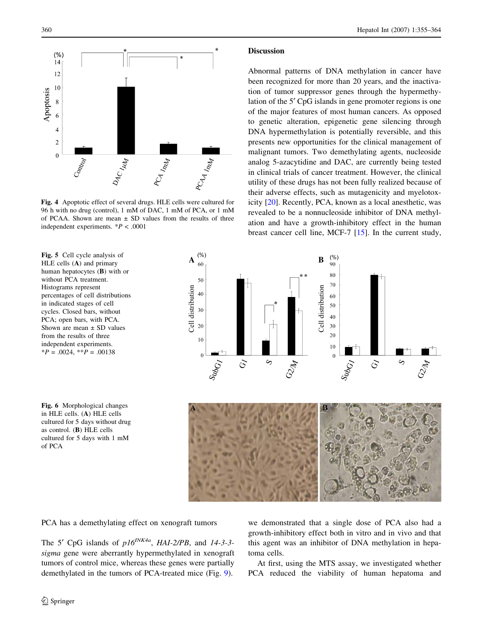<span id="page-5-0"></span>

Fig. 4 Apoptotic effect of several drugs. HLE cells were cultured for 96 h with no drug (control), 1 mM of DAC, 1 mM of PCA, or 1 mM of PCAA. Shown are mean ± SD values from the results of three independent experiments.  $*P < .0001$ 

Fig. 5 Cell cycle analysis of HLE cells (A) and primary human hepatocytes (B) with or without PCA treatment. Histograms represent percentages of cell distributions in indicated stages of cell cycles. Closed bars, without PCA; open bars, with PCA. Shown are mean  $\pm$  SD values from the results of three independent experiments.  $*P = .0024$ ,  $*P = .00138$ 

Fig. 6 Morphological changes in HLE cells. (A) HLE cells cultured for 5 days without drug as control. (B) HLE cells cultured for 5 days with 1 mM of PCA

PCA has a demethylating effect on xenograft tumors

The 5' CpG islands of  $p16^{INK4a}$ , HAI-2/PB, and 14-3-3sigma gene were aberrantly hypermethylated in xenograft tumors of control mice, whereas these genes were partially demethylated in the tumors of PCA-treated mice (Fig. [9](#page-7-0)).

### **Discussion**

Abnormal patterns of DNA methylation in cancer have been recognized for more than 20 years, and the inactivation of tumor suppressor genes through the hypermethylation of the 5<sup>'</sup> CpG islands in gene promoter regions is one of the major features of most human cancers. As opposed to genetic alteration, epigenetic gene silencing through DNA hypermethylation is potentially reversible, and this presents new opportunities for the clinical management of malignant tumors. Two demethylating agents, nucleoside analog 5-azacytidine and DAC, are currently being tested in clinical trials of cancer treatment. However, the clinical utility of these drugs has not been fully realized because of their adverse effects, such as mutagenicity and myelotoxicity [[20\]](#page-9-0). Recently, PCA, known as a local anesthetic, was revealed to be a nonnucleoside inhibitor of DNA methylation and have a growth-inhibitory effect in the human breast cancer cell line, MCF-7 [\[15](#page-8-0)]. In the current study,



we demonstrated that a single dose of PCA also had a growth-inhibitory effect both in vitro and in vivo and that this agent was an inhibitor of DNA methylation in hepatoma cells.

At first, using the MTS assay, we investigated whether PCA reduced the viability of human hepatoma and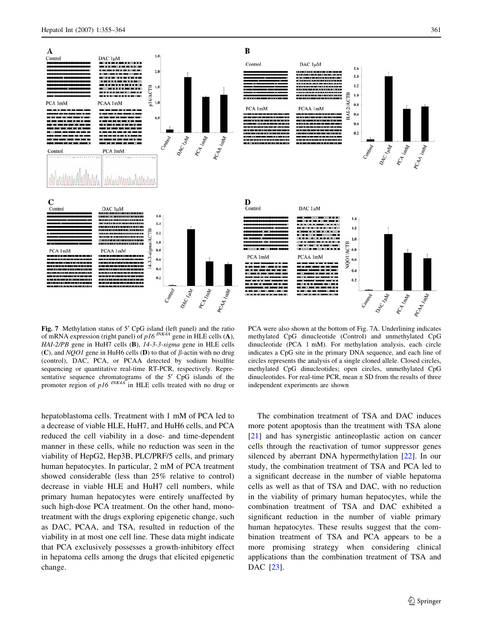<span id="page-6-0"></span>

Fig. 7 Methylation status of 5' CpG island (left panel) and the ratio of mRNA expression (right panel) of  $p16^{INK\hat{A}A}$  gene in HLE cells (A), HAI-2/PB gene in HuH7 cells (B), 14-3-3-sigma gene in HLE cells (C), and NQO1 gene in HuH6 cells (D) to that of  $\beta$ -actin with no drug (control), DAC, PCA, or PCAA detected by sodium bisulfite sequencing or quantitative real-time RT-PCR, respectively. Representative sequence chromatograms of the 5<sup> $\prime$ </sup> CpG islands of the promoter region of  $p16^{INKA}$  in HLE cells treated with no drug or

PCA were also shown at the bottom of Fig. 7A. Underlining indicates methylated CpG dinucleotide (Control) and unmethylated CpG dinucleotide (PCA 1 mM). For methylation analysis, each circle indicates a CpG site in the primary DNA sequence, and each line of circles represents the analysis of a single cloned allele. Closed circles, methylated CpG dinucleotides; open circles, unmethylated CpG dinucleotides. For real-time PCR, mean  $\pm$  SD from the results of three independent experiments are shown

hepatoblastoma cells. Treatment with 1 mM of PCA led to a decrease of viable HLE, HuH7, and HuH6 cells, and PCA reduced the cell viability in a dose- and time-dependent manner in these cells, while no reduction was seen in the viability of HepG2, Hep3B, PLC/PRF/5 cells, and primary human hepatocytes. In particular, 2 mM of PCA treatment showed considerable (less than 25% relative to control) decrease in viable HLE and HuH7 cell numbers, while primary human hepatocytes were entirely unaffected by such high-dose PCA treatment. On the other hand, monotreatment with the drugs exploring epigenetic change, such as DAC, PCAA, and TSA, resulted in reduction of the viability in at most one cell line. These data might indicate that PCA exclusively possesses a growth-inhibitory effect in hepatoma cells among the drugs that elicited epigenetic change.

The combination treatment of TSA and DAC induces more potent apoptosis than the treatment with TSA alone [\[21](#page-9-0)] and has synergistic antineoplastic action on cancer cells through the reactivation of tumor suppressor genes silenced by aberrant DNA hypermethylation [\[22](#page-9-0)]. In our study, the combination treatment of TSA and PCA led to a significant decrease in the number of viable hepatoma cells as well as that of TSA and DAC, with no reduction in the viability of primary human hepatocytes, while the combination treatment of TSA and DAC exhibited a significant reduction in the number of viable primary human hepatocytes. These results suggest that the combination treatment of TSA and PCA appears to be a more promising strategy when considering clinical applications than the combination treatment of TSA and DAC [[23\]](#page-9-0).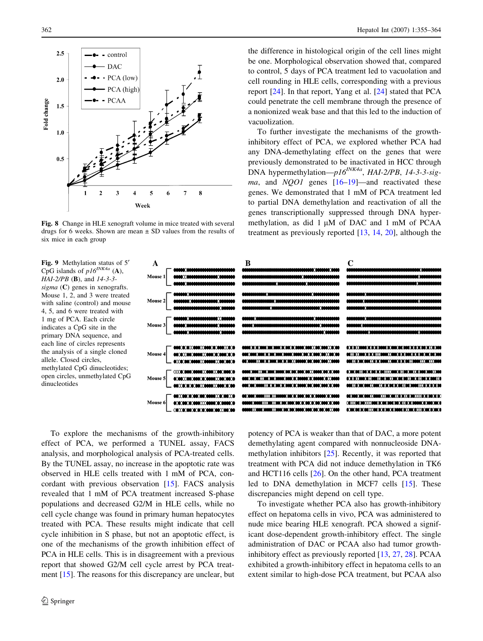<span id="page-7-0"></span>

Fig. 8 Change in HLE xenograft volume in mice treated with several drugs for 6 weeks. Shown are mean  $\pm$  SD values from the results of six mice in each group

Fig. 9 Methylation status of 5<sup> $\prime$ </sup> CpG islands of  $p16^{INK4a}$  (A),  $HAI-2/PB$  (B), and  $14-3-3$ sigma (C) genes in xenografts. Mouse 1, 2, and 3 were treated with saline (control) and mouse 4, 5, and 6 were treated with 1 mg of PCA. Each circle indicates a CpG site in the primary DNA sequence, and each line of circles represents the analysis of a single cloned allele. Closed circles, methylated CpG dinucleotides; open circles, unmethylated CpG dinucleotides

the difference in histological origin of the cell lines might be one. Morphological observation showed that, compared to control, 5 days of PCA treatment led to vacuolation and cell rounding in HLE cells, corresponding with a previous report [\[24](#page-9-0)]. In that report, Yang et al. [\[24](#page-9-0)] stated that PCA could penetrate the cell membrane through the presence of a nonionized weak base and that this led to the induction of vacuolization.

To further investigate the mechanisms of the growthinhibitory effect of PCA, we explored whether PCA had any DNA-demethylating effect on the genes that were previously demonstrated to be inactivated in HCC through DNA hypermethylation— $p16^{INKA}$ , HAI-2/PB, 14-3-3-sigma, and  $NQO1$  genes  $[16–19]$  $[16–19]$  $[16–19]$ —and reactivated these genes. We demonstrated that 1 mM of PCA treatment led to partial DNA demethylation and reactivation of all the genes transcriptionally suppressed through DNA hypermethylation, as did  $1 \mu M$  of DAC and  $1 \mu M$  of PCAA treatment as previously reported [[13,](#page-8-0) [14](#page-8-0), [20\]](#page-9-0), although the



To explore the mechanisms of the growth-inhibitory effect of PCA, we performed a TUNEL assay, FACS analysis, and morphological analysis of PCA-treated cells. By the TUNEL assay, no increase in the apoptotic rate was observed in HLE cells treated with 1 mM of PCA, concordant with previous observation [\[15](#page-8-0)]. FACS analysis revealed that 1 mM of PCA treatment increased S-phase populations and decreased G2/M in HLE cells, while no cell cycle change was found in primary human hepatocytes treated with PCA. These results might indicate that cell cycle inhibition in S phase, but not an apoptotic effect, is one of the mechanisms of the growth inhibition effect of PCA in HLE cells. This is in disagreement with a previous report that showed G2/M cell cycle arrest by PCA treatment [[15\]](#page-8-0). The reasons for this discrepancy are unclear, but

potency of PCA is weaker than that of DAC, a more potent demethylating agent compared with nonnucleoside DNAmethylation inhibitors [[25\]](#page-9-0). Recently, it was reported that treatment with PCA did not induce demethylation in TK6 and HCT116 cells [\[26](#page-9-0)]. On the other hand, PCA treatment led to DNA demethylation in MCF7 cells [\[15](#page-8-0)]. These discrepancies might depend on cell type.

To investigate whether PCA also has growth-inhibitory effect on hepatoma cells in vivo, PCA was administered to nude mice bearing HLE xenograft. PCA showed a significant dose-dependent growth-inhibitory effect. The single administration of DAC or PCAA also had tumor growthinhibitory effect as previously reported [[13,](#page-8-0) [27](#page-9-0), [28](#page-9-0)]. PCAA exhibited a growth-inhibitory effect in hepatoma cells to an extent similar to high-dose PCA treatment, but PCAA also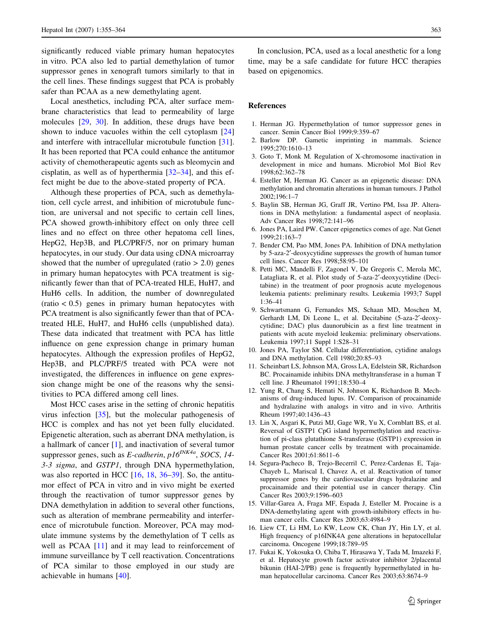<span id="page-8-0"></span>significantly reduced viable primary human hepatocytes in vitro. PCA also led to partial demethylation of tumor suppressor genes in xenograft tumors similarly to that in the cell lines. These findings suggest that PCA is probably safer than PCAA as a new demethylating agent.

Local anesthetics, including PCA, alter surface membrane characteristics that lead to permeability of large molecules [\[29](#page-9-0), [30\]](#page-9-0). In addition, these drugs have been shown to induce vacuoles within the cell cytoplasm [[24\]](#page-9-0) and interfere with intracellular microtubule function [\[31](#page-9-0)]. It has been reported that PCA could enhance the antitumor activity of chemotherapeutic agents such as bleomycin and cisplatin, as well as of hyperthermia [[32–34\]](#page-9-0), and this effect might be due to the above-stated property of PCA.

Although these properties of PCA, such as demethylation, cell cycle arrest, and inhibition of microtubule function, are universal and not specific to certain cell lines, PCA showed growth-inhibitory effect on only three cell lines and no effect on three other hepatoma cell lines, HepG2, Hep3B, and PLC/PRF/5, nor on primary human hepatocytes, in our study. Our data using cDNA microarray showed that the number of upregulated (ratio  $> 2.0$ ) genes in primary human hepatocytes with PCA treatment is significantly fewer than that of PCA-treated HLE, HuH7, and HuH6 cells. In addition, the number of downregulated  $(ratio < 0.5)$  genes in primary human hepatocytes with PCA treatment is also significantly fewer than that of PCAtreated HLE, HuH7, and HuH6 cells (unpublished data). These data indicated that treatment with PCA has little influence on gene expression change in primary human hepatocytes. Although the expression profiles of HepG2, Hep3B, and PLC/PRF/5 treated with PCA were not investigated, the differences in influence on gene expression change might be one of the reasons why the sensitivities to PCA differed among cell lines.

Most HCC cases arise in the setting of chronic hepatitis virus infection [[35\]](#page-9-0), but the molecular pathogenesis of HCC is complex and has not yet been fully elucidated. Epigenetic alteration, such as aberrant DNA methylation, is a hallmark of cancer [1], and inactivation of several tumor suppressor genes, such as E-cadherin,  $p16^{INK4a}$ , SOCS, 14-3-3 sigma, and GSTP1, through DNA hypermethylation, was also reported in HCC [16, [18,](#page-9-0) [36–39\]](#page-9-0). So, the antitumor effect of PCA in vitro and in vivo might be exerted through the reactivation of tumor suppressor genes by DNA demethylation in addition to several other functions, such as alteration of membrane permeability and interference of microtubule function. Moreover, PCA may modulate immune systems by the demethylation of T cells as well as PCAA [11] and it may lead to reinforcement of immune surveillance by T cell reactivation. Concentrations of PCA similar to those employed in our study are achievable in humans [\[40](#page-9-0)].

In conclusion, PCA, used as a local anesthetic for a long time, may be a safe candidate for future HCC therapies based on epigenomics.

#### References

- 1. Herman JG. Hypermethylation of tumor suppressor genes in cancer. Semin Cancer Biol 1999;9:359–67
- 2. Barlow DP. Gametic imprinting in mammals. Science 1995;270:1610–13
- 3. Goto T, Monk M. Regulation of X-chromosome inactivation in development in mice and humans. Microbiol Mol Biol Rev 1998;62:362–78
- 4. Esteller M, Herman JG. Cancer as an epigenetic disease: DNA methylation and chromatin alterations in human tumours. J Pathol 2002;196:1–7
- 5. Baylin SB, Herman JG, Graff JR, Vertino PM, Issa JP. Alterations in DNA methylation: a fundamental aspect of neoplasia. Adv Cancer Res 1998;72:141–96
- 6. Jones PA, Laird PW. Cancer epigenetics comes of age. Nat Genet 1999;21:163–7
- 7. Bender CM, Pao MM, Jones PA. Inhibition of DNA methylation by 5-aza-2¢-deoxycytidine suppresses the growth of human tumor cell lines. Cancer Res 1998;58:95–101
- 8. Petti MC, Mandelli F, Zagonel V, De Gregoris C, Merola MC, Latagliata R, et al. Pilot study of 5-aza-2'-deoxycytidine (Decitabine) in the treatment of poor prognosis acute myelogenous leukemia patients: preliminary results. Leukemia 1993;7 Suppl 1:36–41
- 9. Schwartsmann G, Fernandes MS, Schaan MD, Moschen M, Gerhardt LM, Di Leone L, et al. Decitabine (5-aza-2'-deoxycytidine; DAC) plus daunorubicin as a first line treatment in patients with acute myeloid leukemia: preliminary observations. Leukemia 1997;11 Suppl 1:S28–31
- 10. Jones PA, Taylor SM. Cellular differentiation, cytidine analogs and DNA methylation. Cell 1980;20:85–93
- 11. Scheinbart LS, Johnson MA, Gross LA, Edelstein SR, Richardson BC. Procainamide inhibits DNA methyltransferase in a human T cell line. J Rheumatol 1991;18:530–4
- 12. Yung R, Chang S, Hemati N, Johnson K, Richardson B. Mechanisms of drug-induced lupus. IV. Comparison of procainamide and hydralazine with analogs in vitro and in vivo. Arthritis Rheum 1997;40:1436–43
- 13. Lin X, Asgari K, Putzi MJ, Gage WR, Yu X, Cornblatt BS, et al. Reversal of GSTP1 CpG island hypermethylation and reactivation of pi-class glutathione S-transferase (GSTP1) expression in human prostate cancer cells by treatment with procainamide. Cancer Res 2001;61:8611–6
- 14. Segura-Pacheco B, Trejo-Becerril C, Perez-Cardenas E, Taja-Chayeb L, Mariscal I, Chavez A, et al. Reactivation of tumor suppressor genes by the cardiovascular drugs hydralazine and procainamide and their potential use in cancer therapy. Clin Cancer Res 2003;9:1596–603
- 15. Villar-Garea A, Fraga MF, Espada J, Esteller M. Procaine is a DNA-demethylating agent with growth-inhibitory effects in human cancer cells. Cancer Res 2003;63:4984–9
- 16. Liew CT, Li HM, Lo KW, Leow CK, Chan JY, Hin LY, et al. High frequency of p16INK4A gene alterations in hepatocellular carcinoma. Oncogene 1999;18:789–95
- 17. Fukai K, Yokosuka O, Chiba T, Hirasawa Y, Tada M, Imazeki F, et al. Hepatocyte growth factor activator inhibitor 2/placental bikunin (HAI-2/PB) gene is frequently hypermethylated in human hepatocellular carcinoma. Cancer Res 2003;63:8674–9